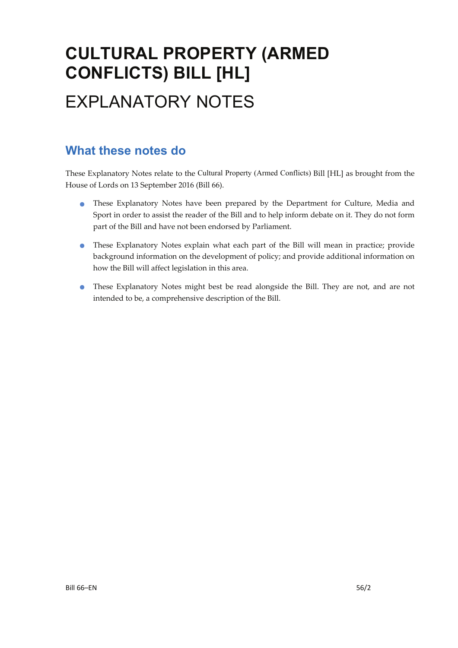# **CULTURAL PROPERTY (ARMED CONFLICTS) BILL [HL]**  EXPLANATORY NOTES

### **What these notes do**

- These Explanatory Notes have been prepared by the Department for Culture, Media and Sport in order to assist the reader of the Bill and to help inform debate on it. They do not form part of the Bill and have not been endorsed by Parliament.
- These Explanatory Notes explain what each part of the Bill will mean in practice; provide background information on the development of policy; and provide additional information on how the Bill will affect legislation in this area.
- These Explanatory Notes might best be read alongside the Bill. They are not, and are not intended to be, a comprehensive description of the Bill.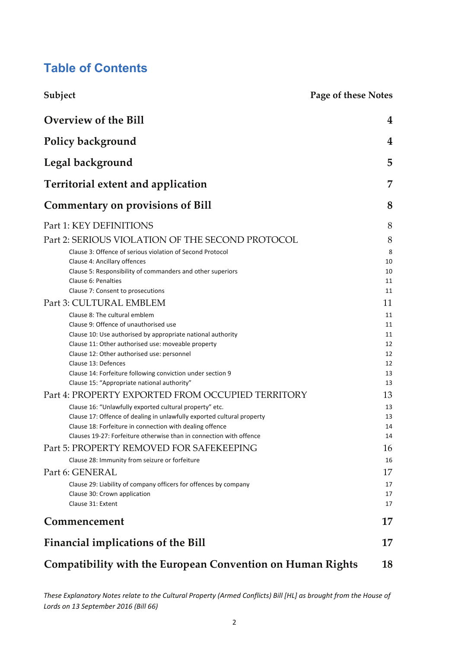### **Table of Contents**

| Subject                                                                                                                           | <b>Page of these Notes</b> |  |  |  |  |
|-----------------------------------------------------------------------------------------------------------------------------------|----------------------------|--|--|--|--|
| <b>Overview of the Bill</b>                                                                                                       | 4                          |  |  |  |  |
| Policy background                                                                                                                 | 4                          |  |  |  |  |
| Legal background                                                                                                                  | 5                          |  |  |  |  |
| <b>Territorial extent and application</b>                                                                                         | 7                          |  |  |  |  |
| <b>Commentary on provisions of Bill</b>                                                                                           | 8                          |  |  |  |  |
| Part 1: KEY DEFINITIONS                                                                                                           | 8                          |  |  |  |  |
| Part 2: SERIOUS VIOLATION OF THE SECOND PROTOCOL                                                                                  | 8                          |  |  |  |  |
| Clause 3: Offence of serious violation of Second Protocol                                                                         | 8                          |  |  |  |  |
| Clause 4: Ancillary offences                                                                                                      | 10                         |  |  |  |  |
| Clause 5: Responsibility of commanders and other superiors                                                                        | 10                         |  |  |  |  |
| Clause 6: Penalties                                                                                                               | 11                         |  |  |  |  |
| Clause 7: Consent to prosecutions<br>Part 3: CULTURAL EMBLEM                                                                      | 11<br>11                   |  |  |  |  |
| Clause 8: The cultural emblem                                                                                                     |                            |  |  |  |  |
| Clause 9: Offence of unauthorised use                                                                                             | 11<br>11                   |  |  |  |  |
| Clause 10: Use authorised by appropriate national authority                                                                       | 11                         |  |  |  |  |
| Clause 11: Other authorised use: moveable property                                                                                | 12                         |  |  |  |  |
| Clause 12: Other authorised use: personnel                                                                                        | 12                         |  |  |  |  |
| Clause 13: Defences                                                                                                               | 12                         |  |  |  |  |
| Clause 14: Forfeiture following conviction under section 9                                                                        | 13                         |  |  |  |  |
| Clause 15: "Appropriate national authority"<br>Part 4: PROPERTY EXPORTED FROM OCCUPIED TERRITORY                                  | 13                         |  |  |  |  |
|                                                                                                                                   | 13                         |  |  |  |  |
| Clause 16: "Unlawfully exported cultural property" etc.<br>Clause 17: Offence of dealing in unlawfully exported cultural property | 13<br>13                   |  |  |  |  |
| Clause 18: Forfeiture in connection with dealing offence                                                                          | 14                         |  |  |  |  |
| Clauses 19-27: Forfeiture otherwise than in connection with offence                                                               | 14                         |  |  |  |  |
| Part 5: PROPERTY REMOVED FOR SAFEKEEPING                                                                                          | 16                         |  |  |  |  |
| Clause 28: Immunity from seizure or forfeiture                                                                                    | 16                         |  |  |  |  |
| Part 6: GENERAL                                                                                                                   | 17                         |  |  |  |  |
| Clause 29: Liability of company officers for offences by company                                                                  | 17                         |  |  |  |  |
| Clause 30: Crown application                                                                                                      | 17                         |  |  |  |  |
| Clause 31: Extent                                                                                                                 | 17                         |  |  |  |  |
| Commencement                                                                                                                      | 17                         |  |  |  |  |
| <b>Financial implications of the Bill</b>                                                                                         | 17                         |  |  |  |  |
| <b>Compatibility with the European Convention on Human Rights</b>                                                                 |                            |  |  |  |  |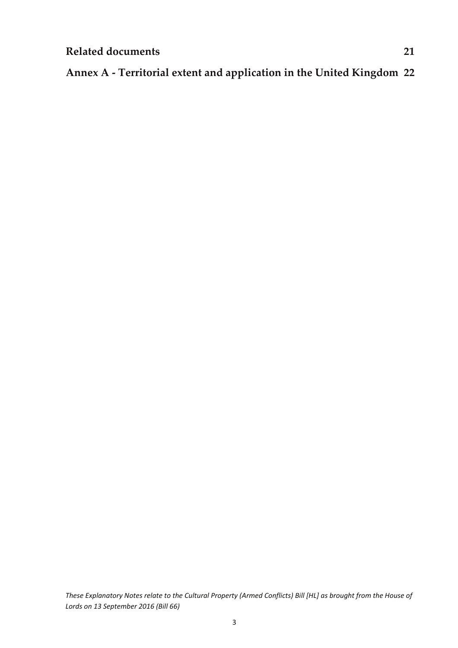### **Annex A ‐ Territorial extent and application in the United Kingdom 22**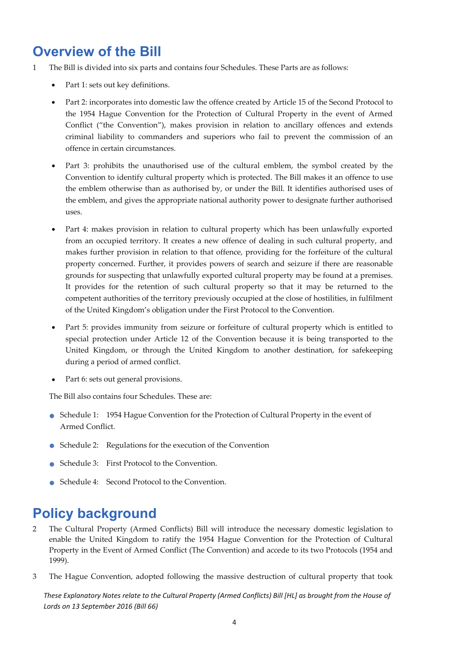# **Overview of the Bill**

- 1 The Bill is divided into six parts and contains four Schedules. These Parts are as follows:
	- Part 1: sets out key definitions.
	- Part 2: incorporates into domestic law the offence created by Article 15 of the Second Protocol to the 1954 Hague Convention for the Protection of Cultural Property in the event of Armed Conflict ("the Convention"), makes provision in relation to ancillary offences and extends criminal liability to commanders and superiors who fail to prevent the commission of an offence in certain circumstances.
	- Part 3: prohibits the unauthorised use of the cultural emblem, the symbol created by the Convention to identify cultural property which is protected. The Bill makes it an offence to use the emblem otherwise than as authorised by, or under the Bill. It identifies authorised uses of the emblem, and gives the appropriate national authority power to designate further authorised uses.
	- Part 4: makes provision in relation to cultural property which has been unlawfully exported from an occupied territory. It creates a new offence of dealing in such cultural property, and makes further provision in relation to that offence, providing for the forfeiture of the cultural property concerned. Further, it provides powers of search and seizure if there are reasonable grounds for suspecting that unlawfully exported cultural property may be found at a premises. It provides for the retention of such cultural property so that it may be returned to the competent authorities of the territory previously occupied at the close of hostilities, in fulfilment of the United Kingdom's obligation under the First Protocol to the Convention.
	- Part 5: provides immunity from seizure or forfeiture of cultural property which is entitled to special protection under Article 12 of the Convention because it is being transported to the United Kingdom, or through the United Kingdom to another destination, for safekeeping during a period of armed conflict.
	- Part 6: sets out general provisions.

The Bill also contains four Schedules. These are:

- Schedule 1: <sup>1954</sup> Hague Convention for the Protection of Cultural Property in the event of Armed Conflict.
- Schedule 2: Regulations for the execution of the Convention
- Schedule 3: First Protocol to the Convention.
- Schedule 4: Second Protocol to the Convention.

# **Policy background**

- 2 The Cultural Property (Armed Conflicts) Bill will introduce the necessary domestic legislation to enable the United Kingdom to ratify the 1954 Hague Convention for the Protection of Cultural Property in the Event of Armed Conflict (The Convention) and accede to its two Protocols (1954 and 1999).
- 3 The Hague Convention, adopted following the massive destruction of cultural property that took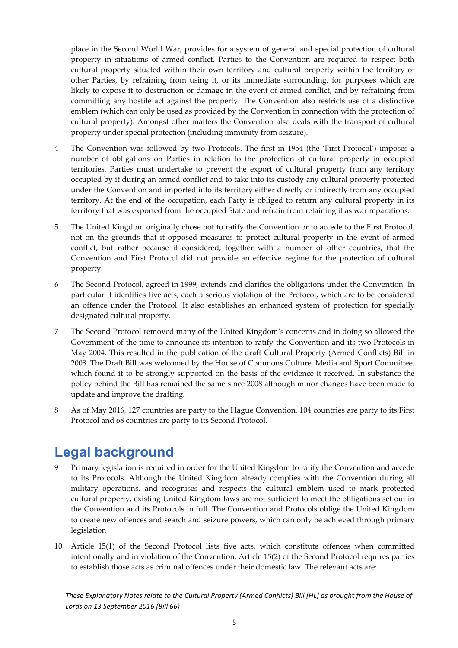place in the Second World War, provides for a system of general and special protection of cultural property in situations of armed conflict. Parties to the Convention are required to respect both cultural property situated within their own territory and cultural property within the territory of other Parties, by refraining from using it, or its immediate surrounding, for purposes which are likely to expose it to destruction or damage in the event of armed conflict, and by refraining from committing any hostile act against the property. The Convention also restricts use of a distinctive emblem (which can only be used as provided by the Convention in connection with the protection of cultural property). Amongst other matters the Convention also deals with the transport of cultural property under special protection (including immunity from seizure).

- 4 The Convention was followed by two Protocols. The first in 1954 (the 'First Protocol') imposes a number of obligations on Parties in relation to the protection of cultural property in occupied territories. Parties must undertake to prevent the export of cultural property from any territory occupied by it during an armed conflict and to take into its custody any cultural property protected under the Convention and imported into its territory either directly or indirectly from any occupied territory. At the end of the occupation, each Party is obliged to return any cultural property in its territory that was exported from the occupied State and refrain from retaining it as war reparations.
- 5 The United Kingdom originally chose not to ratify the Convention or to accede to the First Protocol, not on the grounds that it opposed measures to protect cultural property in the event of armed conflict, but rather because it considered, together with a number of other countries, that the Convention and First Protocol did not provide an effective regime for the protection of cultural property.
- 6 The Second Protocol, agreed in 1999, extends and clarifies the obligations under the Convention. In particular it identifies five acts, each a serious violation of the Protocol, which are to be considered an offence under the Protocol. It also establishes an enhanced system of protection for specially designated cultural property.
- 7 The Second Protocol removed many of the United Kingdom's concerns and in doing so allowed the Government of the time to announce its intention to ratify the Convention and its two Protocols in May 2004. This resulted in the publication of the draft Cultural Property (Armed Conflicts) Bill in 2008. The Draft Bill was welcomed by the House of Commons Culture, Media and Sport Committee, which found it to be strongly supported on the basis of the evidence it received. In substance the policy behind the Bill has remained the same since 2008 although minor changes have been made to update and improve the drafting.
- 8 As of May 2016, 127 countries are party to the Hague Convention, 104 countries are party to its First Protocol and 68 countries are party to its Second Protocol.

# **Legal background**

- 9 Primary legislation is required in order for the United Kingdom to ratify the Convention and accede to its Protocols. Although the United Kingdom already complies with the Convention during all military operations, and recognises and respects the cultural emblem used to mark protected cultural property, existing United Kingdom laws are not sufficient to meet the obligations set out in the Convention and its Protocols in full. The Convention and Protocols oblige the United Kingdom to create new offences and search and seizure powers, which can only be achieved through primary legislation
- 10 Article 15(1) of the Second Protocol lists five acts, which constitute offences when committed intentionally and in violation of the Convention. Article 15(2) of the Second Protocol requires parties to establish those acts as criminal offences under their domestic law. The relevant acts are: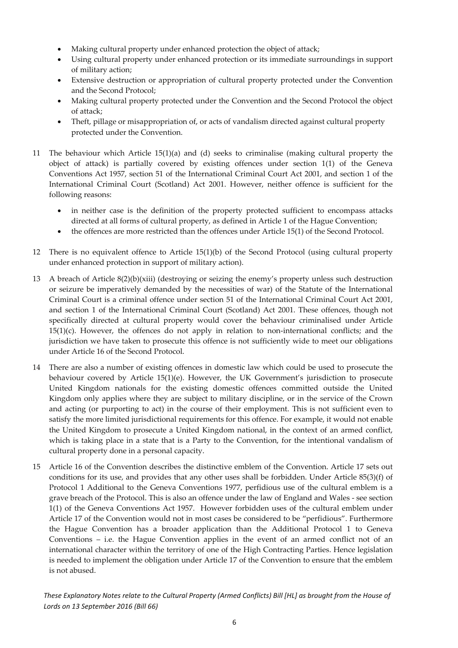- Making cultural property under enhanced protection the object of attack;
- Using cultural property under enhanced protection or its immediate surroundings in support of military action;
- Extensive destruction or appropriation of cultural property protected under the Convention and the Second Protocol;
- Making cultural property protected under the Convention and the Second Protocol the object of attack;
- Theft, pillage or misappropriation of, or acts of vandalism directed against cultural property protected under the Convention.
- The behaviour which Article  $15(1)(a)$  and  $(d)$  seeks to criminalise (making cultural property the object of attack) is partially covered by existing offences under section 1(1) of the Geneva Conventions Act 1957, section 51 of the International Criminal Court Act 2001, and section 1 of the International Criminal Court (Scotland) Act 2001. However, neither offence is sufficient for the following reasons:
	- in neither case is the definition of the property protected sufficient to encompass attacks directed at all forms of cultural property, as defined in Article 1 of the Hague Convention;
	- the offences are more restricted than the offences under Article 15(1) of the Second Protocol.
- 12 There is no equivalent offence to Article 15(1)(b) of the Second Protocol (using cultural property under enhanced protection in support of military action).
- 13 A breach of Article 8(2)(b)(xiii) (destroying or seizing the enemy's property unless such destruction or seizure be imperatively demanded by the necessities of war) of the Statute of the International Criminal Court is a criminal offence under section 51 of the International Criminal Court Act 2001, and section 1 of the International Criminal Court (Scotland) Act 2001. These offences, though not specifically directed at cultural property would cover the behaviour criminalised under Article  $15(1)(c)$ . However, the offences do not apply in relation to non-international conflicts; and the jurisdiction we have taken to prosecute this offence is not sufficiently wide to meet our obligations under Article 16 of the Second Protocol.
- 14 There are also a number of existing offences in domestic law which could be used to prosecute the behaviour covered by Article 15(1)(e). However, the UK Government's jurisdiction to prosecute United Kingdom nationals for the existing domestic offences committed outside the United Kingdom only applies where they are subject to military discipline, or in the service of the Crown and acting (or purporting to act) in the course of their employment. This is not sufficient even to satisfy the more limited jurisdictional requirements for this offence. For example, it would not enable the United Kingdom to prosecute a United Kingdom national, in the context of an armed conflict, which is taking place in a state that is a Party to the Convention, for the intentional vandalism of cultural property done in a personal capacity.
- 15 Article 16 of the Convention describes the distinctive emblem of the Convention. Article 17 sets out conditions for its use, and provides that any other uses shall be forbidden. Under Article 85(3)(f) of Protocol 1 Additional to the Geneva Conventions 1977, perfidious use of the cultural emblem is a grave breach of the Protocol. This is also an offence under the law of England and Wales ‐ see section 1(1) of the Geneva Conventions Act 1957. However forbidden uses of the cultural emblem under Article 17 of the Convention would not in most cases be considered to be "perfidious". Furthermore the Hague Convention has a broader application than the Additional Protocol 1 to Geneva Conventions – i.e. the Hague Convention applies in the event of an armed conflict not of an international character within the territory of one of the High Contracting Parties. Hence legislation is needed to implement the obligation under Article 17 of the Convention to ensure that the emblem is not abused.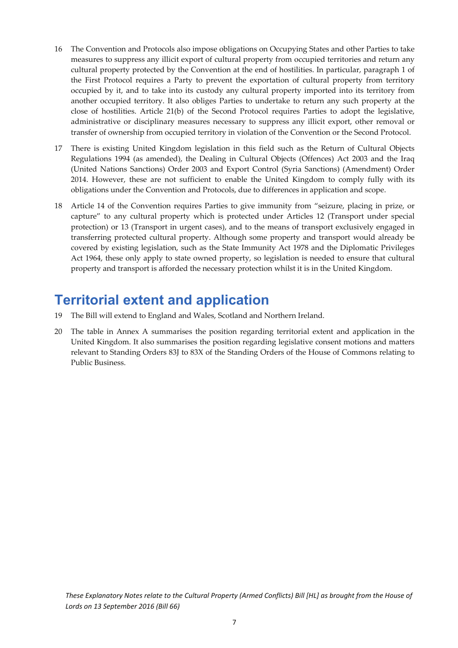- 16 The Convention and Protocols also impose obligations on Occupying States and other Parties to take measures to suppress any illicit export of cultural property from occupied territories and return any cultural property protected by the Convention at the end of hostilities. In particular, paragraph 1 of the First Protocol requires a Party to prevent the exportation of cultural property from territory occupied by it, and to take into its custody any cultural property imported into its territory from another occupied territory. It also obliges Parties to undertake to return any such property at the close of hostilities. Article 21(b) of the Second Protocol requires Parties to adopt the legislative, administrative or disciplinary measures necessary to suppress any illicit export, other removal or transfer of ownership from occupied territory in violation of the Convention or the Second Protocol.
- 17 There is existing United Kingdom legislation in this field such as the Return of Cultural Objects Regulations 1994 (as amended), the Dealing in Cultural Objects (Offences) Act 2003 and the Iraq (United Nations Sanctions) Order 2003 and Export Control (Syria Sanctions) (Amendment) Order 2014. However, these are not sufficient to enable the United Kingdom to comply fully with its obligations under the Convention and Protocols, due to differences in application and scope.
- 18 Article 14 of the Convention requires Parties to give immunity from "seizure, placing in prize, or capture" to any cultural property which is protected under Articles 12 (Transport under special protection) or 13 (Transport in urgent cases), and to the means of transport exclusively engaged in transferring protected cultural property. Although some property and transport would already be covered by existing legislation, such as the State Immunity Act 1978 and the Diplomatic Privileges Act 1964, these only apply to state owned property, so legislation is needed to ensure that cultural property and transport is afforded the necessary protection whilst it is in the United Kingdom.

## **Territorial extent and application**

- 19 The Bill will extend to England and Wales, Scotland and Northern Ireland.
- 20 The table in Annex A summarises the position regarding territorial extent and application in the United Kingdom. It also summarises the position regarding legislative consent motions and matters relevant to Standing Orders 83J to 83X of the Standing Orders of the House of Commons relating to Public Business.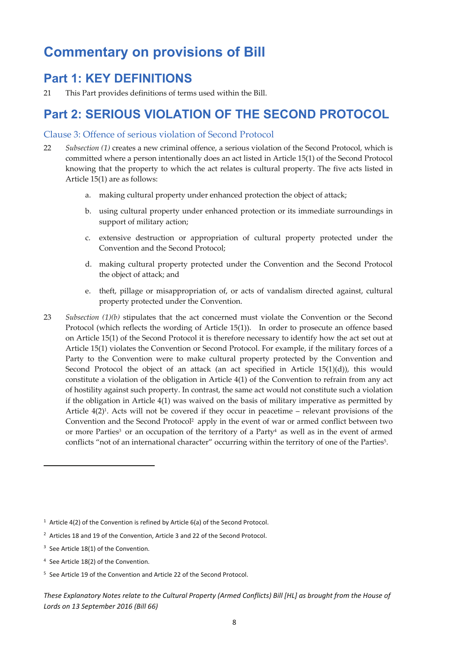## **Commentary on provisions of Bill**

### **Part 1: KEY DEFINITIONS**

21 This Part provides definitions of terms used within the Bill.

### **Part 2: SERIOUS VIOLATION OF THE SECOND PROTOCOL**

#### Clause 3: Offence of serious violation of Second Protocol

- 22 *Subsection (1)* creates a new criminal offence, a serious violation of the Second Protocol, which is committed where a person intentionally does an act listed in Article 15(1) of the Second Protocol knowing that the property to which the act relates is cultural property. The five acts listed in Article 15(1) are as follows:
	- a. making cultural property under enhanced protection the object of attack;
	- b. using cultural property under enhanced protection or its immediate surroundings in support of military action;
	- c. extensive destruction or appropriation of cultural property protected under the Convention and the Second Protocol;
	- d. making cultural property protected under the Convention and the Second Protocol the object of attack; and
	- e. theft, pillage or misappropriation of, or acts of vandalism directed against, cultural property protected under the Convention.
- 23 *Subsection (1)(b)* stipulates that the act concerned must violate the Convention or the Second Protocol (which reflects the wording of Article 15(1)). In order to prosecute an offence based on Article 15(1) of the Second Protocol it is therefore necessary to identify how the act set out at Article 15(1) violates the Convention or Second Protocol. For example, if the military forces of a Party to the Convention were to make cultural property protected by the Convention and Second Protocol the object of an attack (an act specified in Article 15(1)(d)), this would constitute a violation of the obligation in Article 4(1) of the Convention to refrain from any act of hostility against such property. In contrast, the same act would not constitute such a violation if the obligation in Article 4(1) was waived on the basis of military imperative as permitted by Article  $4(2)^1$ . Acts will not be covered if they occur in peacetime – relevant provisions of the Convention and the Second Protocol2 apply in the event of war or armed conflict between two or more Parties<sup>3</sup> or an occupation of the territory of a Party<sup>4</sup> as well as in the event of armed conflicts "not of an international character" occurring within the territory of one of the Parties<sup>5</sup>.

<sup>&</sup>lt;sup>1</sup> Article 4(2) of the Convention is refined by Article  $6(a)$  of the Second Protocol.

<sup>&</sup>lt;sup>2</sup> Articles 18 and 19 of the Convention, Article 3 and 22 of the Second Protocol.

<sup>&</sup>lt;sup>3</sup> See Article 18(1) of the Convention.

<sup>4</sup> See Article 18(2) of the Convention.

<sup>5</sup> See Article 19 of the Convention and Article 22 of the Second Protocol.

These Explanatory Notes relate to the Cultural Property (Armed Conflicts) Bill [HL] as brought from the House of *Lords on 13 September 2016 (Bill 66)*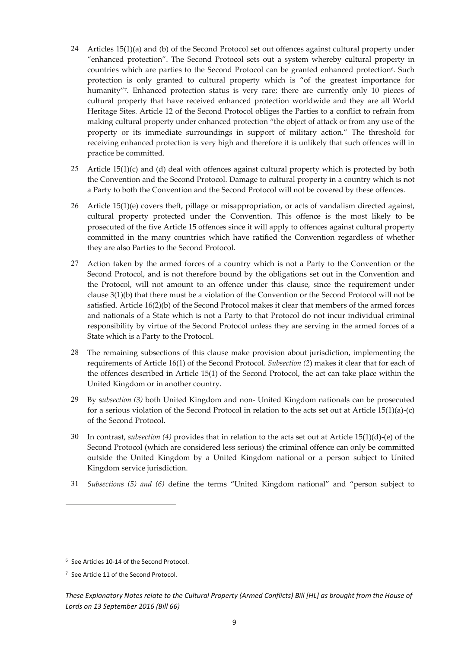- 24 Articles 15(1)(a) and (b) of the Second Protocol set out offences against cultural property under "enhanced protection". The Second Protocol sets out a system whereby cultural property in countries which are parties to the Second Protocol can be granted enhanced protection<sup>6</sup>. Such protection is only granted to cultural property which is "of the greatest importance for humanity"7. Enhanced protection status is very rare; there are currently only 10 pieces of cultural property that have received enhanced protection worldwide and they are all World Heritage Sites. Article 12 of the Second Protocol obliges the Parties to a conflict to refrain from making cultural property under enhanced protection "the object of attack or from any use of the property or its immediate surroundings in support of military action." The threshold for receiving enhanced protection is very high and therefore it is unlikely that such offences will in practice be committed.
- 25 Article 15(1)(c) and (d) deal with offences against cultural property which is protected by both the Convention and the Second Protocol. Damage to cultural property in a country which is not a Party to both the Convention and the Second Protocol will not be covered by these offences.
- 26 Article 15(1)(e) covers theft, pillage or misappropriation, or acts of vandalism directed against, cultural property protected under the Convention. This offence is the most likely to be prosecuted of the five Article 15 offences since it will apply to offences against cultural property committed in the many countries which have ratified the Convention regardless of whether they are also Parties to the Second Protocol.
- 27 Action taken by the armed forces of a country which is not a Party to the Convention or the Second Protocol, and is not therefore bound by the obligations set out in the Convention and the Protocol, will not amount to an offence under this clause, since the requirement under clause 3(1)(b) that there must be a violation of the Convention or the Second Protocol will not be satisfied. Article 16(2)(b) of the Second Protocol makes it clear that members of the armed forces and nationals of a State which is not a Party to that Protocol do not incur individual criminal responsibility by virtue of the Second Protocol unless they are serving in the armed forces of a State which is a Party to the Protocol.
- 28 The remaining subsections of this clause make provision about jurisdiction, implementing the requirements of Article 16(1) of the Second Protocol. *Subsection (2*) makes it clear that for each of the offences described in Article 15(1) of the Second Protocol, the act can take place within the United Kingdom or in another country.
- 29 By s*ubsection (3)* both United Kingdom and non‐ United Kingdom nationals can be prosecuted for a serious violation of the Second Protocol in relation to the acts set out at Article 15(1)(a)‐(c) of the Second Protocol.
- 30 In contrast, *subsection (4)* provides that in relation to the acts set out at Article 15(1)(d)‐(e) of the Second Protocol (which are considered less serious) the criminal offence can only be committed outside the United Kingdom by a United Kingdom national or a person subject to United Kingdom service jurisdiction.
- 31 *Subsections (5) and (6)* define the terms "United Kingdom national" and "person subject to

<sup>&</sup>lt;sup>6</sup> See Articles 10-14 of the Second Protocol.

<sup>7</sup> See Article 11 of the Second Protocol.

These Explanatory Notes relate to the Cultural Property (Armed Conflicts) Bill [HL] as brought from the House of *Lords on 13 September 2016 (Bill 66)*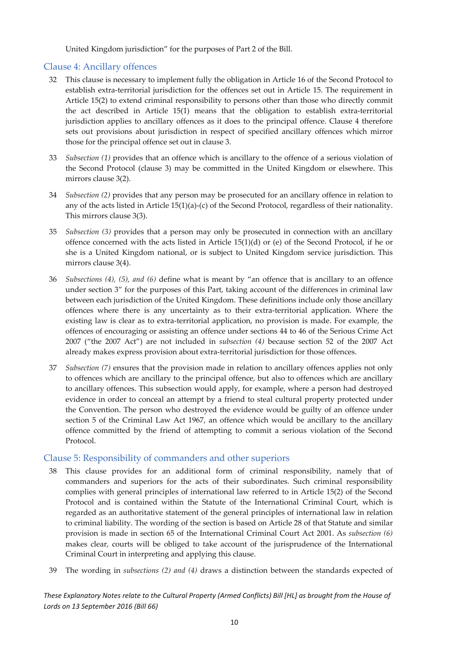United Kingdom jurisdiction" for the purposes of Part 2 of the Bill.

#### Clause 4: Ancillary offences

- 32 This clause is necessary to implement fully the obligation in Article 16 of the Second Protocol to establish extra-territorial jurisdiction for the offences set out in Article 15. The requirement in Article 15(2) to extend criminal responsibility to persons other than those who directly commit the act described in Article 15(1) means that the obligation to establish extra‐territorial jurisdiction applies to ancillary offences as it does to the principal offence. Clause 4 therefore sets out provisions about jurisdiction in respect of specified ancillary offences which mirror those for the principal offence set out in clause 3.
- 33 *Subsection (1)* provides that an offence which is ancillary to the offence of a serious violation of the Second Protocol (clause 3) may be committed in the United Kingdom or elsewhere. This mirrors clause 3(2).
- 34 *Subsection (2)* provides that any person may be prosecuted for an ancillary offence in relation to any of the acts listed in Article 15(1)(a)‐(c) of the Second Protocol, regardless of their nationality. This mirrors clause 3(3).
- 35 *Subsection (3)* provides that a person may only be prosecuted in connection with an ancillary offence concerned with the acts listed in Article 15(1)(d) or (e) of the Second Protocol, if he or she is a United Kingdom national, or is subject to United Kingdom service jurisdiction. This mirrors clause 3(4).
- 36 *Subsections (4), (5), and (6)* define what is meant by "an offence that is ancillary to an offence under section 3" for the purposes of this Part, taking account of the differences in criminal law between each jurisdiction of the United Kingdom. These definitions include only those ancillary offences where there is any uncertainty as to their extra‐territorial application. Where the existing law is clear as to extra-territorial application, no provision is made. For example, the offences of encouraging or assisting an offence under sections 44 to 46 of the Serious Crime Act 2007 ("the 2007 Act") are not included in *subsection (4)* because section 52 of the 2007 Act already makes express provision about extra‐territorial jurisdiction for those offences.
- 37 *Subsection (7)* ensures that the provision made in relation to ancillary offences applies not only to offences which are ancillary to the principal offence, but also to offences which are ancillary to ancillary offences. This subsection would apply, for example, where a person had destroyed evidence in order to conceal an attempt by a friend to steal cultural property protected under the Convention. The person who destroyed the evidence would be guilty of an offence under section 5 of the Criminal Law Act 1967, an offence which would be ancillary to the ancillary offence committed by the friend of attempting to commit a serious violation of the Second Protocol.

#### Clause 5: Responsibility of commanders and other superiors

- 38 This clause provides for an additional form of criminal responsibility, namely that of commanders and superiors for the acts of their subordinates. Such criminal responsibility complies with general principles of international law referred to in Article 15(2) of the Second Protocol and is contained within the Statute of the International Criminal Court, which is regarded as an authoritative statement of the general principles of international law in relation to criminal liability. The wording of the section is based on Article 28 of that Statute and similar provision is made in section 65 of the International Criminal Court Act 2001. As *subsection (6)* makes clear, courts will be obliged to take account of the jurisprudence of the International Criminal Court in interpreting and applying this clause.
- 39 The wording in *subsections (2) and (4)* draws a distinction between the standards expected of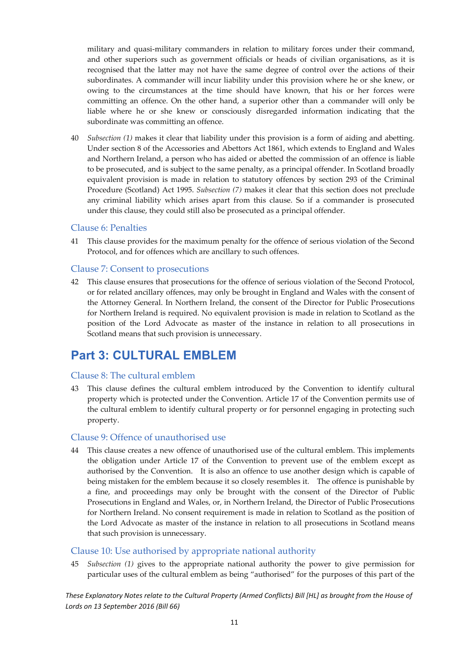military and quasi-military commanders in relation to military forces under their command, and other superiors such as government officials or heads of civilian organisations, as it is recognised that the latter may not have the same degree of control over the actions of their subordinates. A commander will incur liability under this provision where he or she knew, or owing to the circumstances at the time should have known, that his or her forces were committing an offence. On the other hand, a superior other than a commander will only be liable where he or she knew or consciously disregarded information indicating that the subordinate was committing an offence.

40 *Subsection (1)* makes it clear that liability under this provision is a form of aiding and abetting. Under section 8 of the Accessories and Abettors Act 1861, which extends to England and Wales and Northern Ireland, a person who has aided or abetted the commission of an offence is liable to be prosecuted, and is subject to the same penalty, as a principal offender. In Scotland broadly equivalent provision is made in relation to statutory offences by section 293 of the Criminal Procedure (Scotland) Act 1995. *Subsection (7)* makes it clear that this section does not preclude any criminal liability which arises apart from this clause. So if a commander is prosecuted under this clause, they could still also be prosecuted as a principal offender.

#### Clause 6: Penalties

41 This clause provides for the maximum penalty for the offence of serious violation of the Second Protocol, and for offences which are ancillary to such offences.

#### Clause 7: Consent to prosecutions

42 This clause ensures that prosecutions for the offence of serious violation of the Second Protocol, or for related ancillary offences, may only be brought in England and Wales with the consent of the Attorney General. In Northern Ireland, the consent of the Director for Public Prosecutions for Northern Ireland is required. No equivalent provision is made in relation to Scotland as the position of the Lord Advocate as master of the instance in relation to all prosecutions in Scotland means that such provision is unnecessary.

### **Part 3: CULTURAL EMBLEM**

#### Clause 8: The cultural emblem

43 This clause defines the cultural emblem introduced by the Convention to identify cultural property which is protected under the Convention. Article 17 of the Convention permits use of the cultural emblem to identify cultural property or for personnel engaging in protecting such property.

#### Clause 9: Offence of unauthorised use

44 This clause creates a new offence of unauthorised use of the cultural emblem. This implements the obligation under Article 17 of the Convention to prevent use of the emblem except as authorised by the Convention. It is also an offence to use another design which is capable of being mistaken for the emblem because it so closely resembles it. The offence is punishable by a fine, and proceedings may only be brought with the consent of the Director of Public Prosecutions in England and Wales, or, in Northern Ireland, the Director of Public Prosecutions for Northern Ireland. No consent requirement is made in relation to Scotland as the position of the Lord Advocate as master of the instance in relation to all prosecutions in Scotland means that such provision is unnecessary.

#### Clause 10: Use authorised by appropriate national authority

45 *Subsection (1)* gives to the appropriate national authority the power to give permission for particular uses of the cultural emblem as being "authorised" for the purposes of this part of the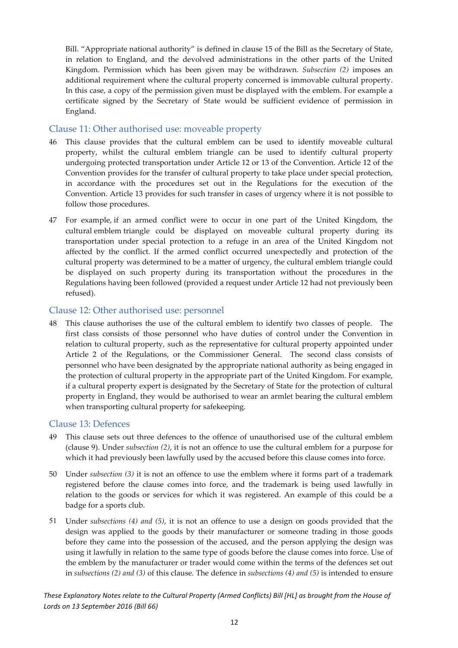Bill. "Appropriate national authority" is defined in clause 15 of the Bill as the Secretary of State, in relation to England, and the devolved administrations in the other parts of the United Kingdom. Permission which has been given may be withdrawn. *Subsection (2)* imposes an additional requirement where the cultural property concerned is immovable cultural property. In this case, a copy of the permission given must be displayed with the emblem. For example a certificate signed by the Secretary of State would be sufficient evidence of permission in England.

#### Clause 11: Other authorised use: moveable property

- 46 This clause provides that the cultural emblem can be used to identify moveable cultural property, whilst the cultural emblem triangle can be used to identify cultural property undergoing protected transportation under Article 12 or 13 of the Convention. Article 12 of the Convention provides for the transfer of cultural property to take place under special protection, in accordance with the procedures set out in the Regulations for the execution of the Convention. Article 13 provides for such transfer in cases of urgency where it is not possible to follow those procedures.
- 47 For example, if an armed conflict were to occur in one part of the United Kingdom, the cultural emblem triangle could be displayed on moveable cultural property during its transportation under special protection to a refuge in an area of the United Kingdom not affected by the conflict. If the armed conflict occurred unexpectedly and protection of the cultural property was determined to be a matter of urgency, the cultural emblem triangle could be displayed on such property during its transportation without the procedures in the Regulations having been followed (provided a request under Article 12 had not previously been refused).

#### Clause 12: Other authorised use: personnel

48 This clause authorises the use of the cultural emblem to identify two classes of people. The first class consists of those personnel who have duties of control under the Convention in relation to cultural property, such as the representative for cultural property appointed under Article 2 of the Regulations, or the Commissioner General. The second class consists of personnel who have been designated by the appropriate national authority as being engaged in the protection of cultural property in the appropriate part of the United Kingdom. For example, if a cultural property expert is designated by the Secretary of State for the protection of cultural property in England, they would be authorised to wear an armlet bearing the cultural emblem when transporting cultural property for safekeeping.

#### Clause 13: Defences

- 49 This clause sets out three defences to the offence of unauthorised use of the cultural emblem (clause 9). Under *subsection (2)*, it is not an offence to use the cultural emblem for a purpose for which it had previously been lawfully used by the accused before this clause comes into force.
- 50 Under *subsection (3)* it is not an offence to use the emblem where it forms part of a trademark registered before the clause comes into force, and the trademark is being used lawfully in relation to the goods or services for which it was registered. An example of this could be a badge for a sports club.
- 51 Under *subsections (4) and (5)*, it is not an offence to use a design on goods provided that the design was applied to the goods by their manufacturer or someone trading in those goods before they came into the possession of the accused, and the person applying the design was using it lawfully in relation to the same type of goods before the clause comes into force. Use of the emblem by the manufacturer or trader would come within the terms of the defences set out in *subsections (2) and (3)* of this clause. The defence in *subsections (4) and (5)* is intended to ensure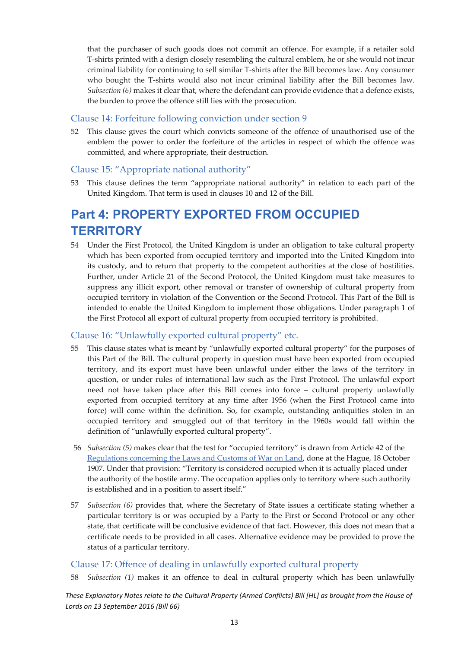that the purchaser of such goods does not commit an offence. For example, if a retailer sold T‐shirts printed with a design closely resembling the cultural emblem, he or she would not incur criminal liability for continuing to sell similar T‐shirts after the Bill becomes law. Any consumer who bought the T-shirts would also not incur criminal liability after the Bill becomes law. *Subsection (6)* makes it clear that, where the defendant can provide evidence that a defence exists, the burden to prove the offence still lies with the prosecution.

#### Clause 14: Forfeiture following conviction under section 9

52 This clause gives the court which convicts someone of the offence of unauthorised use of the emblem the power to order the forfeiture of the articles in respect of which the offence was committed, and where appropriate, their destruction.

#### Clause 15: "Appropriate national authority"

53 This clause defines the term "appropriate national authority" in relation to each part of the United Kingdom. That term is used in clauses 10 and 12 of the Bill.

### **Part 4: PROPERTY EXPORTED FROM OCCUPIED TERRITORY**

54 Under the First Protocol, the United Kingdom is under an obligation to take cultural property which has been exported from occupied territory and imported into the United Kingdom into its custody, and to return that property to the competent authorities at the close of hostilities. Further, under Article 21 of the Second Protocol, the United Kingdom must take measures to suppress any illicit export, other removal or transfer of ownership of cultural property from occupied territory in violation of the Convention or the Second Protocol. This Part of the Bill is intended to enable the United Kingdom to implement those obligations. Under paragraph 1 of the First Protocol all export of cultural property from occupied territory is prohibited.

#### Clause 16: "Unlawfully exported cultural property" etc.

- 55 This clause states what is meant by "unlawfully exported cultural property" for the purposes of this Part of the Bill. The cultural property in question must have been exported from occupied territory, and its export must have been unlawful under either the laws of the territory in question, or under rules of international law such as the First Protocol. The unlawful export need not have taken place after this Bill comes into force – cultural property unlawfully exported from occupied territory at any time after 1956 (when the First Protocol came into force) will come within the definition. So, for example, outstanding antiquities stolen in an occupied territory and smuggled out of that territory in the 1960s would fall within the definition of "unlawfully exported cultural property".
- 56 *Subsection (5)* makes clear that the test for "occupied territory" is drawn from Article 42 of the Regulations concerning the Laws and Customs of War on Land, done at the Hague, 18 October 1907. Under that provision: "Territory is considered occupied when it is actually placed under the authority of the hostile army. The occupation applies only to territory where such authority is established and in a position to assert itself."
- 57 *Subsection (6)* provides that, where the Secretary of State issues a certificate stating whether a particular territory is or was occupied by a Party to the First or Second Protocol or any other state, that certificate will be conclusive evidence of that fact. However, this does not mean that a certificate needs to be provided in all cases. Alternative evidence may be provided to prove the status of a particular territory.

#### Clause 17: Offence of dealing in unlawfully exported cultural property

58 *Subsection (1)* makes it an offence to deal in cultural property which has been unlawfully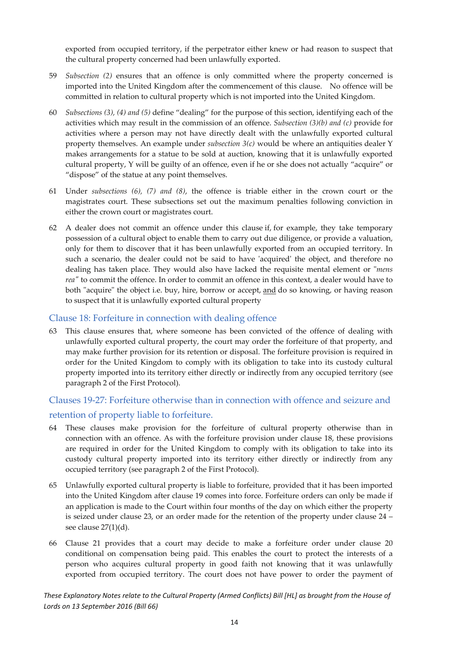exported from occupied territory, if the perpetrator either knew or had reason to suspect that the cultural property concerned had been unlawfully exported.

- 59 *Subsection (2)* ensures that an offence is only committed where the property concerned is imported into the United Kingdom after the commencement of this clause. No offence will be committed in relation to cultural property which is not imported into the United Kingdom.
- 60 *Subsections (3), (4) and (5)* define "dealing" for the purpose of this section, identifying each of the activities which may result in the commission of an offence. *Subsection (3)(b) and (c)* provide for activities where a person may not have directly dealt with the unlawfully exported cultural property themselves. An example under *subsection 3(c)* would be where an antiquities dealer Y makes arrangements for a statue to be sold at auction, knowing that it is unlawfully exported cultural property, Y will be guilty of an offence, even if he or she does not actually "acquire" or "dispose" of the statue at any point themselves.
- 61 Under *subsections (6), (7) and (8)*, the offence is triable either in the crown court or the magistrates court. These subsections set out the maximum penalties following conviction in either the crown court or magistrates court.
- 62 A dealer does not commit an offence under this clause if, for example, they take temporary possession of a cultural object to enable them to carry out due diligence, or provide a valuation, only for them to discover that it has been unlawfully exported from an occupied territory. In such a scenario, the dealer could not be said to have 'acquired' the object, and therefore no dealing has taken place. They would also have lacked the requisite mental element or "*mens rea*<sup>"</sup> to commit the offence. In order to commit an offence in this context, a dealer would have to both "acquire" the object i.e. buy, hire, borrow or accept, and do so knowing, or having reason to suspect that it is unlawfully exported cultural property

#### Clause 18: Forfeiture in connection with dealing offence

63 This clause ensures that, where someone has been convicted of the offence of dealing with unlawfully exported cultural property, the court may order the forfeiture of that property, and may make further provision for its retention or disposal. The forfeiture provision is required in order for the United Kingdom to comply with its obligation to take into its custody cultural property imported into its territory either directly or indirectly from any occupied territory (see paragraph 2 of the First Protocol).

#### Clauses 19‐27: Forfeiture otherwise than in connection with offence and seizure and retention of property liable to forfeiture.

- 64 These clauses make provision for the forfeiture of cultural property otherwise than in connection with an offence. As with the forfeiture provision under clause 18, these provisions are required in order for the United Kingdom to comply with its obligation to take into its custody cultural property imported into its territory either directly or indirectly from any occupied territory (see paragraph 2 of the First Protocol).
- 65 Unlawfully exported cultural property is liable to forfeiture, provided that it has been imported into the United Kingdom after clause 19 comes into force. Forfeiture orders can only be made if an application is made to the Court within four months of the day on which either the property is seized under clause 23, or an order made for the retention of the property under clause 24 – see clause 27(1)(d).
- 66 Clause 21 provides that a court may decide to make a forfeiture order under clause 20 conditional on compensation being paid. This enables the court to protect the interests of a person who acquires cultural property in good faith not knowing that it was unlawfully exported from occupied territory. The court does not have power to order the payment of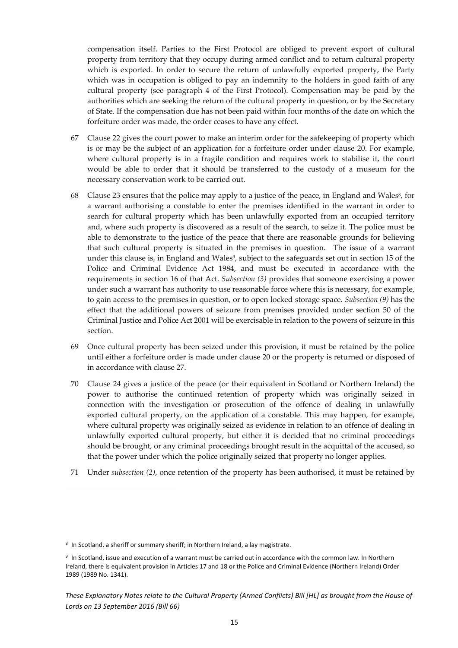compensation itself. Parties to the First Protocol are obliged to prevent export of cultural property from territory that they occupy during armed conflict and to return cultural property which is exported. In order to secure the return of unlawfully exported property, the Party which was in occupation is obliged to pay an indemnity to the holders in good faith of any cultural property (see paragraph 4 of the First Protocol). Compensation may be paid by the authorities which are seeking the return of the cultural property in question, or by the Secretary of State. If the compensation due has not been paid within four months of the date on which the forfeiture order was made, the order ceases to have any effect.

- 67 Clause 22 gives the court power to make an interim order for the safekeeping of property which is or may be the subject of an application for a forfeiture order under clause 20. For example, where cultural property is in a fragile condition and requires work to stabilise it, the court would be able to order that it should be transferred to the custody of a museum for the necessary conservation work to be carried out.
- 68 Clause 23 ensures that the police may apply to a justice of the peace, in England and Wales<sup>8</sup>, for a warrant authorising a constable to enter the premises identified in the warrant in order to search for cultural property which has been unlawfully exported from an occupied territory and, where such property is discovered as a result of the search, to seize it. The police must be able to demonstrate to the justice of the peace that there are reasonable grounds for believing that such cultural property is situated in the premises in question. The issue of a warrant under this clause is, in England and Wales<sup>9</sup>, subject to the safeguards set out in section 15 of the Police and Criminal Evidence Act 1984, and must be executed in accordance with the requirements in section 16 of that Act. *Subsection (3)* provides that someone exercising a power under such a warrant has authority to use reasonable force where this is necessary, for example, to gain access to the premises in question, or to open locked storage space. *Subsection (9)* has the effect that the additional powers of seizure from premises provided under section 50 of the Criminal Justice and Police Act 2001 will be exercisable in relation to the powers of seizure in this section.
- 69 Once cultural property has been seized under this provision, it must be retained by the police until either a forfeiture order is made under clause 20 or the property is returned or disposed of in accordance with clause 27.
- 70 Clause 24 gives a justice of the peace (or their equivalent in Scotland or Northern Ireland) the power to authorise the continued retention of property which was originally seized in connection with the investigation or prosecution of the offence of dealing in unlawfully exported cultural property, on the application of a constable. This may happen, for example, where cultural property was originally seized as evidence in relation to an offence of dealing in unlawfully exported cultural property, but either it is decided that no criminal proceedings should be brought, or any criminal proceedings brought result in the acquittal of the accused, so that the power under which the police originally seized that property no longer applies.
- 71 Under *subsection (2)*, once retention of the property has been authorised, it must be retained by

<sup>8</sup> In Scotland, a sheriff or summary sheriff; in Northern Ireland, a lay magistrate.

<sup>9</sup> In Scotland, issue and execution of a warrant must be carried out in accordance with the common law. In Northern Ireland, there is equivalent provision in Articles 17 and 18 or the Police and Criminal Evidence (Northern Ireland) Order 1989 (1989 No. 1341).

These Explanatory Notes relate to the Cultural Property (Armed Conflicts) Bill [HL] as brought from the House of *Lords on 13 September 2016 (Bill 66)*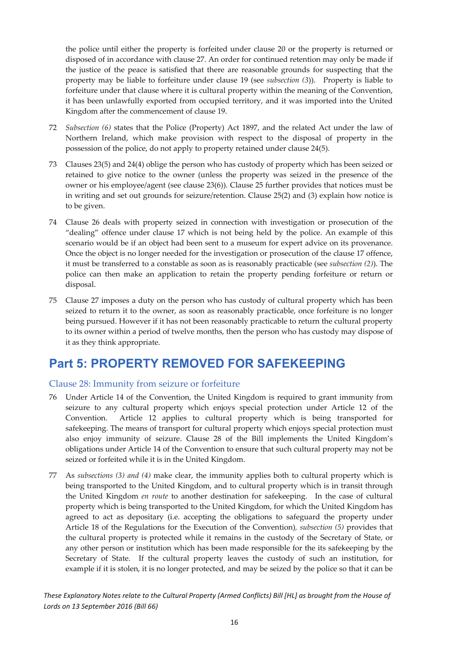the police until either the property is forfeited under clause 20 or the property is returned or disposed of in accordance with clause 27. An order for continued retention may only be made if the justice of the peace is satisfied that there are reasonable grounds for suspecting that the property may be liable to forfeiture under clause 19 (see *subsection (3*)). Property is liable to forfeiture under that clause where it is cultural property within the meaning of the Convention, it has been unlawfully exported from occupied territory, and it was imported into the United Kingdom after the commencement of clause 19.

- 72 *Subsection (6)* states that the Police (Property) Act 1897, and the related Act under the law of Northern Ireland, which make provision with respect to the disposal of property in the possession of the police, do not apply to property retained under clause 24(5).
- 73 Clauses 23(5) and 24(4) oblige the person who has custody of property which has been seized or retained to give notice to the owner (unless the property was seized in the presence of the owner or his employee/agent (see clause 23(6)). Clause 25 further provides that notices must be in writing and set out grounds for seizure/retention. Clause 25(2) and (3) explain how notice is to be given.
- 74 Clause 26 deals with property seized in connection with investigation or prosecution of the "dealing" offence under clause 17 which is not being held by the police. An example of this scenario would be if an object had been sent to a museum for expert advice on its provenance. Once the object is no longer needed for the investigation or prosecution of the clause 17 offence, it must be transferred to a constable as soon as is reasonably practicable (see *subsection (2)*). The police can then make an application to retain the property pending forfeiture or return or disposal.
- 75 Clause 27 imposes a duty on the person who has custody of cultural property which has been seized to return it to the owner, as soon as reasonably practicable, once forfeiture is no longer being pursued. However if it has not been reasonably practicable to return the cultural property to its owner within a period of twelve months, then the person who has custody may dispose of it as they think appropriate.

### **Part 5: PROPERTY REMOVED FOR SAFEKEEPING**

#### Clause 28: Immunity from seizure or forfeiture

- 76 Under Article 14 of the Convention, the United Kingdom is required to grant immunity from seizure to any cultural property which enjoys special protection under Article 12 of the Convention. Article 12 applies to cultural property which is being transported for safekeeping. The means of transport for cultural property which enjoys special protection must also enjoy immunity of seizure. Clause 28 of the Bill implements the United Kingdom's obligations under Article 14 of the Convention to ensure that such cultural property may not be seized or forfeited while it is in the United Kingdom.
- 77 As *subsections (3) and (4)* make clear, the immunity applies both to cultural property which is being transported to the United Kingdom, and to cultural property which is in transit through the United Kingdom *en route* to another destination for safekeeping. In the case of cultural property which is being transported to the United Kingdom, for which the United Kingdom has agreed to act as depositary (i.e. accepting the obligations to safeguard the property under Article 18 of the Regulations for the Execution of the Convention)*, subsection (5)* provides that the cultural property is protected while it remains in the custody of the Secretary of State, or any other person or institution which has been made responsible for the its safekeeping by the Secretary of State. If the cultural property leaves the custody of such an institution, for example if it is stolen, it is no longer protected, and may be seized by the police so that it can be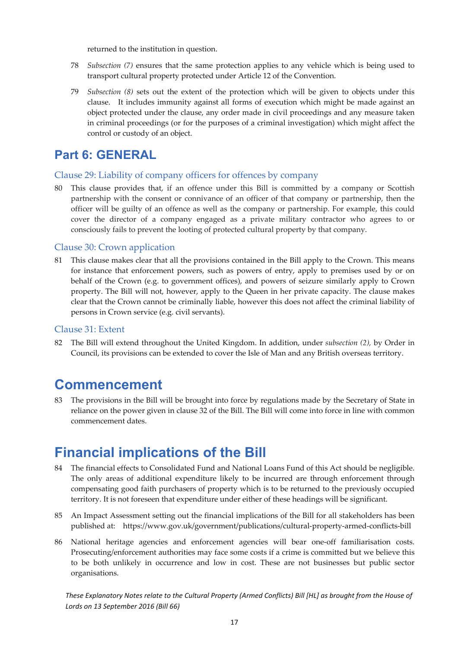returned to the institution in question.

- 78 *Subsection (7)* ensures that the same protection applies to any vehicle which is being used to transport cultural property protected under Article 12 of the Convention.
- 79 *Subsection (8)* sets out the extent of the protection which will be given to objects under this clause. It includes immunity against all forms of execution which might be made against an object protected under the clause, any order made in civil proceedings and any measure taken in criminal proceedings (or for the purposes of a criminal investigation) which might affect the control or custody of an object.

### **Part 6: GENERAL**

#### Clause 29: Liability of company officers for offences by company

80 This clause provides that, if an offence under this Bill is committed by a company or Scottish partnership with the consent or connivance of an officer of that company or partnership, then the officer will be guilty of an offence as well as the company or partnership. For example, this could cover the director of a company engaged as a private military contractor who agrees to or consciously fails to prevent the looting of protected cultural property by that company.

#### Clause 30: Crown application

81 This clause makes clear that all the provisions contained in the Bill apply to the Crown. This means for instance that enforcement powers, such as powers of entry, apply to premises used by or on behalf of the Crown (e.g. to government offices), and powers of seizure similarly apply to Crown property. The Bill will not, however, apply to the Queen in her private capacity. The clause makes clear that the Crown cannot be criminally liable, however this does not affect the criminal liability of persons in Crown service (e.g. civil servants).

#### Clause 31: Extent

82 The Bill will extend throughout the United Kingdom. In addition, under *subsection (2),* by Order in Council, its provisions can be extended to cover the Isle of Man and any British overseas territory.

### **Commencement**

83 The provisions in the Bill will be brought into force by regulations made by the Secretary of State in reliance on the power given in clause 32 of the Bill. The Bill will come into force in line with common commencement dates.

### **Financial implications of the Bill**

- 84 The financial effects to Consolidated Fund and National Loans Fund of this Act should be negligible. The only areas of additional expenditure likely to be incurred are through enforcement through compensating good faith purchasers of property which is to be returned to the previously occupied territory. It is not foreseen that expenditure under either of these headings will be significant.
- 85 An Impact Assessment setting out the financial implications of the Bill for all stakeholders has been published at: https://www.gov.uk/government/publications/cultural‐property‐armed‐conflicts‐bill
- 86 National heritage agencies and enforcement agencies will bear one-off familiarisation costs. Prosecuting/enforcement authorities may face some costs if a crime is committed but we believe this to be both unlikely in occurrence and low in cost. These are not businesses but public sector organisations.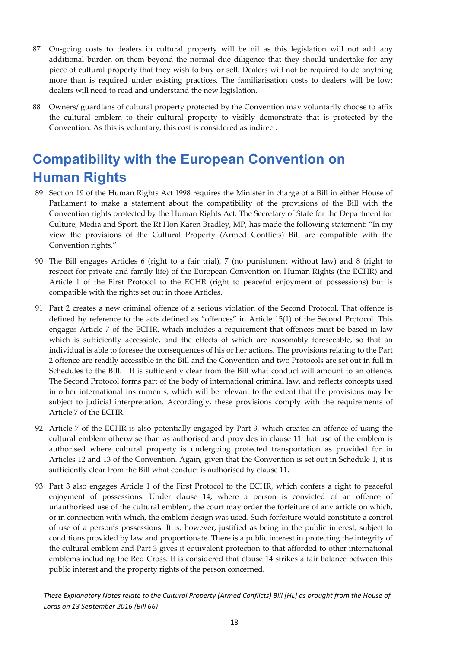- 87 On-going costs to dealers in cultural property will be nil as this legislation will not add any additional burden on them beyond the normal due diligence that they should undertake for any piece of cultural property that they wish to buy or sell. Dealers will not be required to do anything more than is required under existing practices. The familiarisation costs to dealers will be low; dealers will need to read and understand the new legislation.
- 88 Owners/ guardians of cultural property protected by the Convention may voluntarily choose to affix the cultural emblem to their cultural property to visibly demonstrate that is protected by the Convention. As this is voluntary, this cost is considered as indirect.

# **Compatibility with the European Convention on Human Rights**

- 89 Section 19 of the Human Rights Act 1998 requires the Minister in charge of a Bill in either House of Parliament to make a statement about the compatibility of the provisions of the Bill with the Convention rights protected by the Human Rights Act. The Secretary of State for the Department for Culture, Media and Sport, the Rt Hon Karen Bradley, MP, has made the following statement: "In my view the provisions of the Cultural Property (Armed Conflicts) Bill are compatible with the Convention rights."
- 90 The Bill engages Articles 6 (right to a fair trial), 7 (no punishment without law) and 8 (right to respect for private and family life) of the European Convention on Human Rights (the ECHR) and Article 1 of the First Protocol to the ECHR (right to peaceful enjoyment of possessions) but is compatible with the rights set out in those Articles.
- 91 Part 2 creates a new criminal offence of a serious violation of the Second Protocol. That offence is defined by reference to the acts defined as "offences" in Article 15(1) of the Second Protocol. This engages Article 7 of the ECHR, which includes a requirement that offences must be based in law which is sufficiently accessible, and the effects of which are reasonably foreseeable, so that an individual is able to foresee the consequences of his or her actions. The provisions relating to the Part 2 offence are readily accessible in the Bill and the Convention and two Protocols are set out in full in Schedules to the Bill. It is sufficiently clear from the Bill what conduct will amount to an offence. The Second Protocol forms part of the body of international criminal law, and reflects concepts used in other international instruments, which will be relevant to the extent that the provisions may be subject to judicial interpretation. Accordingly, these provisions comply with the requirements of Article 7 of the ECHR.
- 92 Article 7 of the ECHR is also potentially engaged by Part 3, which creates an offence of using the cultural emblem otherwise than as authorised and provides in clause 11 that use of the emblem is authorised where cultural property is undergoing protected transportation as provided for in Articles 12 and 13 of the Convention. Again, given that the Convention is set out in Schedule 1, it is sufficiently clear from the Bill what conduct is authorised by clause 11.
- 93 Part 3 also engages Article 1 of the First Protocol to the ECHR, which confers a right to peaceful enjoyment of possessions. Under clause 14, where a person is convicted of an offence of unauthorised use of the cultural emblem, the court may order the forfeiture of any article on which, or in connection with which, the emblem design was used. Such forfeiture would constitute a control of use of a person's possessions. It is, however, justified as being in the public interest, subject to conditions provided by law and proportionate. There is a public interest in protecting the integrity of the cultural emblem and Part 3 gives it equivalent protection to that afforded to other international emblems including the Red Cross. It is considered that clause 14 strikes a fair balance between this public interest and the property rights of the person concerned.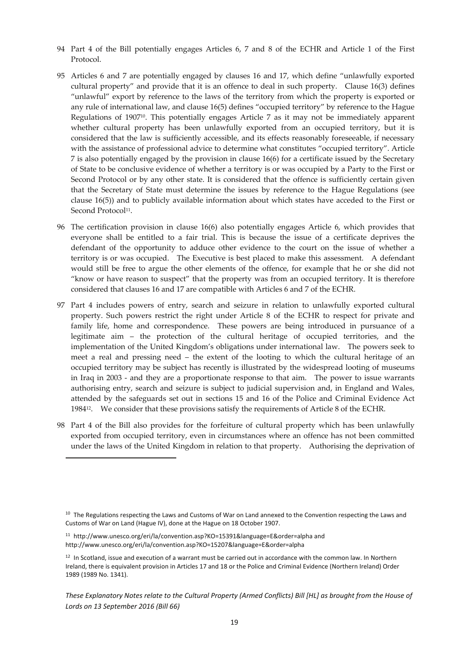- 94 Part 4 of the Bill potentially engages Articles 6, 7 and 8 of the ECHR and Article 1 of the First Protocol.
- 95 Articles 6 and 7 are potentially engaged by clauses 16 and 17, which define "unlawfully exported cultural property" and provide that it is an offence to deal in such property. Clause 16(3) defines "unlawful" export by reference to the laws of the territory from which the property is exported or any rule of international law, and clause 16(5) defines "occupied territory" by reference to the Hague Regulations of 190710. This potentially engages Article 7 as it may not be immediately apparent whether cultural property has been unlawfully exported from an occupied territory, but it is considered that the law is sufficiently accessible, and its effects reasonably foreseeable, if necessary with the assistance of professional advice to determine what constitutes "occupied territory". Article 7 is also potentially engaged by the provision in clause 16(6) for a certificate issued by the Secretary of State to be conclusive evidence of whether a territory is or was occupied by a Party to the First or Second Protocol or by any other state. It is considered that the offence is sufficiently certain given that the Secretary of State must determine the issues by reference to the Hague Regulations (see clause 16(5)) and to publicly available information about which states have acceded to the First or Second Protocol<sup>11</sup>.
- 96 The certification provision in clause 16(6) also potentially engages Article 6, which provides that everyone shall be entitled to a fair trial. This is because the issue of a certificate deprives the defendant of the opportunity to adduce other evidence to the court on the issue of whether a territory is or was occupied. The Executive is best placed to make this assessment. A defendant would still be free to argue the other elements of the offence, for example that he or she did not "know or have reason to suspect" that the property was from an occupied territory. It is therefore considered that clauses 16 and 17 are compatible with Articles 6 and 7 of the ECHR.
- 97 Part 4 includes powers of entry, search and seizure in relation to unlawfully exported cultural property. Such powers restrict the right under Article 8 of the ECHR to respect for private and family life, home and correspondence. These powers are being introduced in pursuance of a legitimate aim – the protection of the cultural heritage of occupied territories, and the implementation of the United Kingdom's obligations under international law. The powers seek to meet a real and pressing need – the extent of the looting to which the cultural heritage of an occupied territory may be subject has recently is illustrated by the widespread looting of museums in Iraq in 2003 - and they are a proportionate response to that aim. The power to issue warrants authorising entry, search and seizure is subject to judicial supervision and, in England and Wales, attended by the safeguards set out in sections 15 and 16 of the Police and Criminal Evidence Act 198412. We consider that these provisions satisfy the requirements of Article 8 of the ECHR.
- 98 Part 4 of the Bill also provides for the forfeiture of cultural property which has been unlawfully exported from occupied territory, even in circumstances where an offence has not been committed under the laws of the United Kingdom in relation to that property. Authorising the deprivation of

<sup>&</sup>lt;sup>10</sup> The Regulations respecting the Laws and Customs of War on Land annexed to the Convention respecting the Laws and Customs of War on Land (Hague IV), done at the Hague on 18 October 1907.

<sup>11</sup> http://www.unesco.org/eri/la/convention.asp?KO=15391&language=E&order=alpha and http://www.unesco.org/eri/la/convention.asp?KO=15207&language=E&order=alpha

 $12$  In Scotland, issue and execution of a warrant must be carried out in accordance with the common law. In Northern Ireland, there is equivalent provision in Articles 17 and 18 or the Police and Criminal Evidence (Northern Ireland) Order 1989 (1989 No. 1341).

These Explanatory Notes relate to the Cultural Property (Armed Conflicts) Bill [HL] as brought from the House of *Lords on 13 September 2016 (Bill 66)*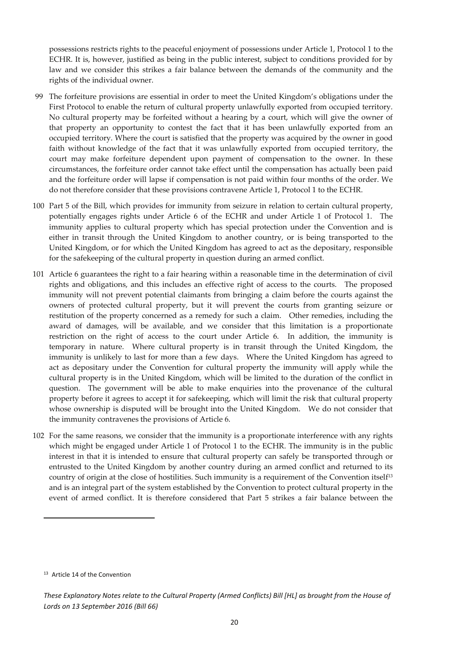possessions restricts rights to the peaceful enjoyment of possessions under Article 1, Protocol 1 to the ECHR. It is, however, justified as being in the public interest, subject to conditions provided for by law and we consider this strikes a fair balance between the demands of the community and the rights of the individual owner.

- 99 The forfeiture provisions are essential in order to meet the United Kingdom's obligations under the First Protocol to enable the return of cultural property unlawfully exported from occupied territory. No cultural property may be forfeited without a hearing by a court, which will give the owner of that property an opportunity to contest the fact that it has been unlawfully exported from an occupied territory. Where the court is satisfied that the property was acquired by the owner in good faith without knowledge of the fact that it was unlawfully exported from occupied territory, the court may make forfeiture dependent upon payment of compensation to the owner. In these circumstances, the forfeiture order cannot take effect until the compensation has actually been paid and the forfeiture order will lapse if compensation is not paid within four months of the order. We do not therefore consider that these provisions contravene Article 1, Protocol 1 to the ECHR.
- 100 Part 5 of the Bill, which provides for immunity from seizure in relation to certain cultural property, potentially engages rights under Article 6 of the ECHR and under Article 1 of Protocol 1. The immunity applies to cultural property which has special protection under the Convention and is either in transit through the United Kingdom to another country, or is being transported to the United Kingdom, or for which the United Kingdom has agreed to act as the depositary, responsible for the safekeeping of the cultural property in question during an armed conflict.
- 101 Article 6 guarantees the right to a fair hearing within a reasonable time in the determination of civil rights and obligations, and this includes an effective right of access to the courts. The proposed immunity will not prevent potential claimants from bringing a claim before the courts against the owners of protected cultural property, but it will prevent the courts from granting seizure or restitution of the property concerned as a remedy for such a claim. Other remedies, including the award of damages, will be available, and we consider that this limitation is a proportionate restriction on the right of access to the court under Article 6. In addition, the immunity is temporary in nature. Where cultural property is in transit through the United Kingdom, the immunity is unlikely to last for more than a few days. Where the United Kingdom has agreed to act as depositary under the Convention for cultural property the immunity will apply while the cultural property is in the United Kingdom, which will be limited to the duration of the conflict in question. The government will be able to make enquiries into the provenance of the cultural property before it agrees to accept it for safekeeping, which will limit the risk that cultural property whose ownership is disputed will be brought into the United Kingdom. We do not consider that the immunity contravenes the provisions of Article 6.
- 102 For the same reasons, we consider that the immunity is a proportionate interference with any rights which might be engaged under Article 1 of Protocol 1 to the ECHR. The immunity is in the public interest in that it is intended to ensure that cultural property can safely be transported through or entrusted to the United Kingdom by another country during an armed conflict and returned to its country of origin at the close of hostilities. Such immunity is a requirement of the Convention itself<sup>13</sup> and is an integral part of the system established by the Convention to protect cultural property in the event of armed conflict. It is therefore considered that Part 5 strikes a fair balance between the

<sup>&</sup>lt;sup>13</sup> Article 14 of the Convention

These Explanatory Notes relate to the Cultural Property (Armed Conflicts) Bill [HL] as brought from the House of *Lords on 13 September 2016 (Bill 66)*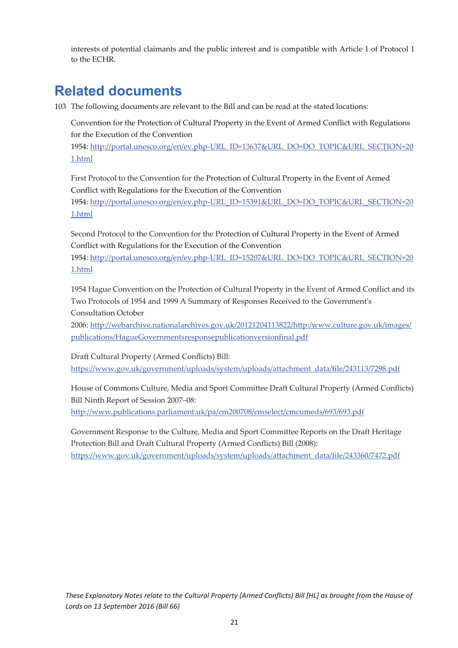interests of potential claimants and the public interest and is compatible with Article 1 of Protocol 1 to the ECHR.

## **Related documents**

103 The following documents are relevant to the Bill and can be read at the stated locations:

Convention for the Protection of Cultural Property in the Event of Armed Conflict with Regulations for the Execution of the Convention

1954: http://portal.unesco.org/en/ev.php‐URL\_ID=13637&URL\_DO=DO\_TOPIC&URL\_SECTION=20 1.html

First Protocol to the Convention for the Protection of Cultural Property in the Event of Armed Conflict with Regulations for the Execution of the Convention 1954: http://portal.unesco.org/en/ev.php‐URL\_ID=15391&URL\_DO=DO\_TOPIC&URL\_SECTION=20 1.html

Second Protocol to the Convention for the Protection of Cultural Property in the Event of Armed Conflict with Regulations for the Execution of the Convention

1954: http://portal.unesco.org/en/ev.php-URL\_ID=15207&URL\_DO=DO\_TOPIC&URL\_SECTION=20 1.html

1954 Hague Convention on the Protection of Cultural Property in the Event of Armed Conflict and its Two Protocols of 1954 and 1999 A Summary of Responses Received to the Governmentʹs Consultation October

2006: http://webarchive.nationalarchives.gov.uk/20121204113822/http:/www.culture.gov.uk/images/ publications/HagueGovernmentsresponsepublicationversionfinal.pdf

Draft Cultural Property (Armed Conflicts) Bill: https://www.gov.uk/government/uploads/system/uploads/attachment\_data/file/243113/7298.pdf

House of Commons Culture, Media and Sport Committee Draft Cultural Property (Armed Conflicts) Bill Ninth Report of Session 2007–08:

http://www.publications.parliament.uk/pa/cm200708/cmselect/cmcumeds/693/693.pdf

Government Response to the Culture, Media and Sport Committee Reports on the Draft Heritage Protection Bill and Draft Cultural Property (Armed Conflicts) Bill (2008): https://www.gov.uk/government/uploads/system/uploads/attachment\_data/file/243360/7472.pdf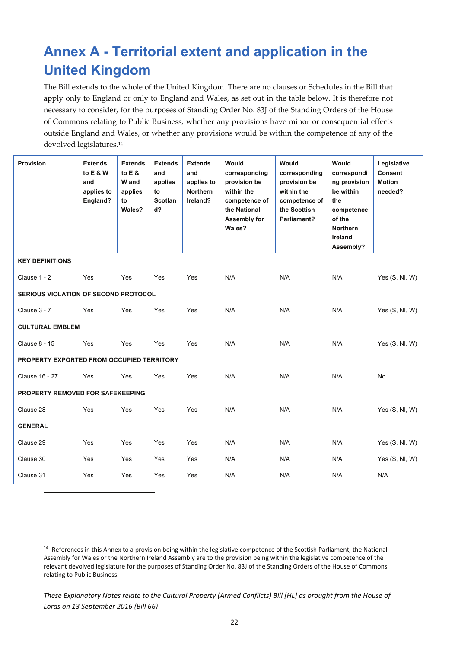# **Annex A - Territorial extent and application in the United Kingdom**

The Bill extends to the whole of the United Kingdom. There are no clauses or Schedules in the Bill that apply only to England or only to England and Wales, as set out in the table below. It is therefore not necessary to consider, for the purposes of Standing Order No. 83J of the Standing Orders of the House of Commons relating to Public Business, whether any provisions have minor or consequential effects outside England and Wales, or whether any provisions would be within the competence of any of the devolved legislatures.14

| <b>Provision</b>                            | <b>Extends</b><br>to E & W<br>and<br>applies to<br>England? | <b>Extends</b><br>to $E$ &<br>W and<br>applies<br>to<br>Wales? | <b>Extends</b><br>and<br>applies<br>to<br><b>Scotlan</b><br>d? | <b>Extends</b><br>and<br>applies to<br><b>Northern</b><br>Ireland? | Would<br>corresponding<br>provision be<br>within the<br>competence of<br>the National<br>Assembly for<br>Wales? | Would<br>corresponding<br>provision be<br>within the<br>competence of<br>the Scottish<br>Parliament? | Would<br>correspondi<br>ng provision<br>be within<br>the<br>competence<br>of the<br><b>Northern</b><br>Ireland<br>Assembly? | Legislative<br><b>Consent</b><br><b>Motion</b><br>needed? |  |
|---------------------------------------------|-------------------------------------------------------------|----------------------------------------------------------------|----------------------------------------------------------------|--------------------------------------------------------------------|-----------------------------------------------------------------------------------------------------------------|------------------------------------------------------------------------------------------------------|-----------------------------------------------------------------------------------------------------------------------------|-----------------------------------------------------------|--|
| <b>KEY DEFINITIONS</b>                      |                                                             |                                                                |                                                                |                                                                    |                                                                                                                 |                                                                                                      |                                                                                                                             |                                                           |  |
| Clause 1 - 2                                | Yes                                                         | Yes                                                            | Yes                                                            | Yes                                                                | N/A                                                                                                             | N/A                                                                                                  | N/A                                                                                                                         | Yes $(S, NI, W)$                                          |  |
| <b>SERIOUS VIOLATION OF SECOND PROTOCOL</b> |                                                             |                                                                |                                                                |                                                                    |                                                                                                                 |                                                                                                      |                                                                                                                             |                                                           |  |
| Clause 3 - 7                                | Yes                                                         | Yes                                                            | Yes                                                            | Yes                                                                | N/A                                                                                                             | N/A                                                                                                  | N/A                                                                                                                         | Yes $(S, NI, W)$                                          |  |
| <b>CULTURAL EMBLEM</b>                      |                                                             |                                                                |                                                                |                                                                    |                                                                                                                 |                                                                                                      |                                                                                                                             |                                                           |  |
| <b>Clause 8 - 15</b>                        | Yes                                                         | Yes                                                            | Yes                                                            | Yes                                                                | N/A                                                                                                             | N/A                                                                                                  | N/A                                                                                                                         | Yes (S, NI, W)                                            |  |
| PROPERTY EXPORTED FROM OCCUPIED TERRITORY   |                                                             |                                                                |                                                                |                                                                    |                                                                                                                 |                                                                                                      |                                                                                                                             |                                                           |  |
| <b>Clause 16 - 27</b>                       | Yes                                                         | Yes                                                            | Yes                                                            | Yes                                                                | N/A                                                                                                             | N/A                                                                                                  | N/A                                                                                                                         | <b>No</b>                                                 |  |
| PROPERTY REMOVED FOR SAFEKEEPING            |                                                             |                                                                |                                                                |                                                                    |                                                                                                                 |                                                                                                      |                                                                                                                             |                                                           |  |
| Clause 28                                   | Yes                                                         | Yes                                                            | Yes                                                            | Yes                                                                | N/A                                                                                                             | N/A                                                                                                  | N/A                                                                                                                         | Yes $(S, NI, W)$                                          |  |
| <b>GENERAL</b>                              |                                                             |                                                                |                                                                |                                                                    |                                                                                                                 |                                                                                                      |                                                                                                                             |                                                           |  |
| Clause 29                                   | Yes                                                         | Yes                                                            | Yes                                                            | Yes                                                                | N/A                                                                                                             | N/A                                                                                                  | N/A                                                                                                                         | Yes $(S, NI, W)$                                          |  |
| Clause 30                                   | Yes                                                         | Yes                                                            | Yes                                                            | Yes                                                                | N/A                                                                                                             | N/A                                                                                                  | N/A                                                                                                                         | Yes $(S, NI, W)$                                          |  |
| Clause 31                                   | Yes                                                         | Yes                                                            | Yes                                                            | Yes                                                                | N/A                                                                                                             | N/A                                                                                                  | N/A                                                                                                                         | N/A                                                       |  |

<sup>14</sup> References in this Annex to a provision being within the legislative competence of the Scottish Parliament, the National Assembly for Wales or the Northern Ireland Assembly are to the provision being within the legislative competence of the relevant devolved legislature for the purposes of Standing Order No. 83J of the Standing Orders of the House of Commons relating to Public Business.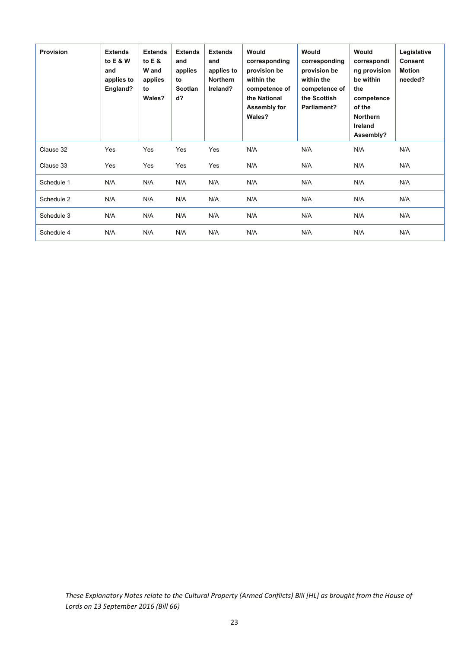| Provision  | <b>Extends</b><br>to E & W<br>and<br>applies to<br>England? | <b>Extends</b><br>to $E$ &<br>W and<br>applies<br>to<br>Wales? | <b>Extends</b><br>and<br>applies<br>to<br><b>Scotlan</b><br>$d$ ? | <b>Extends</b><br>and<br>applies to<br><b>Northern</b><br>Ireland? | Would<br>corresponding<br>provision be<br>within the<br>competence of<br>the National<br>Assembly for<br>Wales? | Would<br>corresponding<br>provision be<br>within the<br>competence of<br>the Scottish<br>Parliament? | Would<br>correspondi<br>ng provision<br>be within<br>the<br>competence<br>of the<br><b>Northern</b><br>Ireland<br>Assembly? | Legislative<br><b>Consent</b><br><b>Motion</b><br>needed? |
|------------|-------------------------------------------------------------|----------------------------------------------------------------|-------------------------------------------------------------------|--------------------------------------------------------------------|-----------------------------------------------------------------------------------------------------------------|------------------------------------------------------------------------------------------------------|-----------------------------------------------------------------------------------------------------------------------------|-----------------------------------------------------------|
| Clause 32  | Yes                                                         | Yes                                                            | Yes                                                               | Yes                                                                | N/A                                                                                                             | N/A                                                                                                  | N/A                                                                                                                         | N/A                                                       |
| Clause 33  | Yes                                                         | Yes                                                            | Yes                                                               | Yes                                                                | N/A                                                                                                             | N/A                                                                                                  | N/A                                                                                                                         | N/A                                                       |
| Schedule 1 | N/A                                                         | N/A                                                            | N/A                                                               | N/A                                                                | N/A                                                                                                             | N/A                                                                                                  | N/A                                                                                                                         | N/A                                                       |
| Schedule 2 | N/A                                                         | N/A                                                            | N/A                                                               | N/A                                                                | N/A                                                                                                             | N/A                                                                                                  | N/A                                                                                                                         | N/A                                                       |
| Schedule 3 | N/A                                                         | N/A                                                            | N/A                                                               | N/A                                                                | N/A                                                                                                             | N/A                                                                                                  | N/A                                                                                                                         | N/A                                                       |
| Schedule 4 | N/A                                                         | N/A                                                            | N/A                                                               | N/A                                                                | N/A                                                                                                             | N/A                                                                                                  | N/A                                                                                                                         | N/A                                                       |